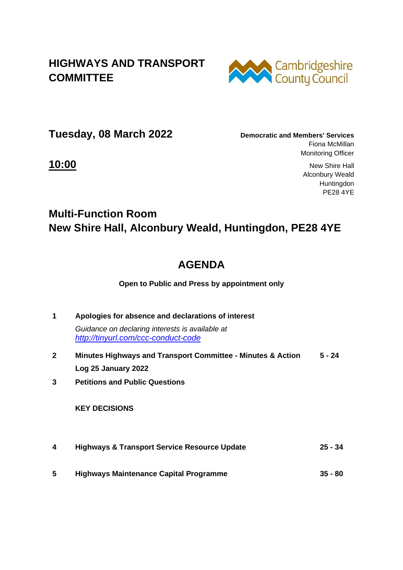## **HIGHWAYS AND TRANSPORT COMMITTEE**



**Tuesday, 08 March 2022 Democratic and Members' Services** 

Fiona McMillan Monitoring Officer

**10:00** New Shire Hall Alconbury Weald Huntingdon PE28 4YE

## **Multi-Function Room New Shire Hall, Alconbury Weald, Huntingdon, PE28 4YE**

## **AGENDA**

**Open to Public and Press by appointment only**

**1 Apologies for absence and declarations of interest** *Guidance on declaring interests is available at <http://tinyurl.com/ccc-conduct-code>* **2 Minutes Highways and Transport Committee - Minutes & Action Log 25 January 2022 5 - 24 3 Petitions and Public Questions** 

 **KEY DECISIONS** 

- **4 Highways & Transport Service Resource Update 25 - 34**
- **5 Highways Maintenance Capital Programme 35 - 80**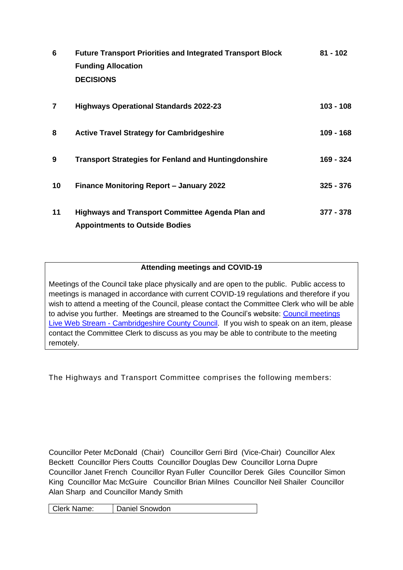| 6  | <b>Future Transport Priorities and Integrated Transport Block</b><br><b>Funding Allocation</b><br><b>DECISIONS</b> | $81 - 102$  |
|----|--------------------------------------------------------------------------------------------------------------------|-------------|
| 7  | <b>Highways Operational Standards 2022-23</b>                                                                      | 103 - 108   |
| 8  | <b>Active Travel Strategy for Cambridgeshire</b>                                                                   | $109 - 168$ |
| 9  | <b>Transport Strategies for Fenland and Huntingdonshire</b>                                                        | 169 - 324   |
| 10 | <b>Finance Monitoring Report - January 2022</b>                                                                    | $325 - 376$ |
| 11 | <b>Highways and Transport Committee Agenda Plan and</b><br><b>Appointments to Outside Bodies</b>                   | 377 - 378   |

## **Attending meetings and COVID-19**

Meetings of the Council take place physically and are open to the public. Public access to meetings is managed in accordance with current COVID-19 regulations and therefore if you wish to attend a meeting of the Council, please contact the Committee Clerk who will be able to advise you further. Meetings are streamed to the Council's website: [Council meetings](https://www.cambridgeshire.gov.uk/council/meetings-and-decisions/council-meetings-live-web-stream)  Live Web Stream - [Cambridgeshire County Council.](https://www.cambridgeshire.gov.uk/council/meetings-and-decisions/council-meetings-live-web-stream) If you wish to speak on an item, please contact the Committee Clerk to discuss as you may be able to contribute to the meeting remotely.

The Highways and Transport Committee comprises the following members:

Councillor Peter McDonald (Chair) Councillor Gerri Bird (Vice-Chair) Councillor Alex Beckett Councillor Piers Coutts Councillor Douglas Dew Councillor Lorna Dupre Councillor Janet French Councillor Ryan Fuller Councillor Derek Giles Councillor Simon King Councillor Mac McGuire Councillor Brian Milnes Councillor Neil Shailer Councillor Alan Sharp and Councillor Mandy Smith

| Clerk Name: | Daniel Snowdon |
|-------------|----------------|
|-------------|----------------|